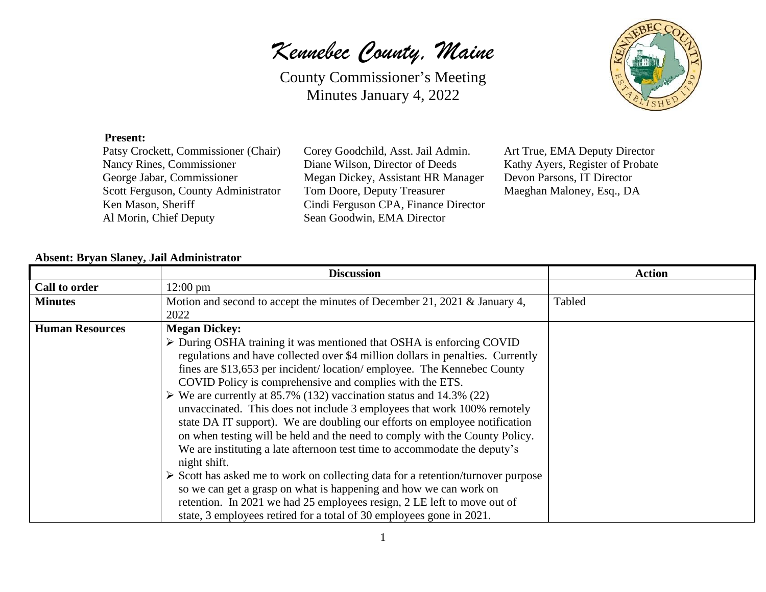*Kennebec County, Maine*



## **Present:**

Al Morin, Chief Deputy Sean Goodwin, EMA Director

Patsy Crockett, Commissioner (Chair) Corey Goodchild, Asst. Jail Admin. Art True, EMA Deputy Director Nancy Rines, Commissioner Diane Wilson, Director of Deeds Kathy Ayers, Register of Probate George Jabar, Commissioner Megan Dickey, Assistant HR Manager Devon Parsons, IT Director Scott Ferguson, County Administrator Tom Doore, Deputy Treasurer Maeghan Maloney, Esq., DA Ken Mason, Sheriff Cindi Ferguson CPA, Finance Director

## **Absent: Bryan Slaney, Jail Administrator**

|                        | <b>Discussion</b>                                                                               | <b>Action</b> |
|------------------------|-------------------------------------------------------------------------------------------------|---------------|
| Call to order          | $12:00 \text{ pm}$                                                                              |               |
| <b>Minutes</b>         | Motion and second to accept the minutes of December 21, 2021 & January 4,                       | Tabled        |
|                        | 2022                                                                                            |               |
| <b>Human Resources</b> | <b>Megan Dickey:</b>                                                                            |               |
|                        | $\triangleright$ During OSHA training it was mentioned that OSHA is enforcing COVID             |               |
|                        | regulations and have collected over \$4 million dollars in penalties. Currently                 |               |
|                        | fines are \$13,653 per incident/location/employee. The Kennebec County                          |               |
|                        | COVID Policy is comprehensive and complies with the ETS.                                        |               |
|                        | $\triangleright$ We are currently at 85.7% (132) vaccination status and 14.3% (22)              |               |
|                        | unvaccinated. This does not include 3 employees that work 100% remotely                         |               |
|                        | state DA IT support). We are doubling our efforts on employee notification                      |               |
|                        | on when testing will be held and the need to comply with the County Policy.                     |               |
|                        | We are instituting a late afternoon test time to accommodate the deputy's                       |               |
|                        | night shift.                                                                                    |               |
|                        | $\triangleright$ Scott has asked me to work on collecting data for a retention/turnover purpose |               |
|                        | so we can get a grasp on what is happening and how we can work on                               |               |
|                        | retention. In 2021 we had 25 employees resign, 2 LE left to move out of                         |               |
|                        | state, 3 employees retired for a total of 30 employees gone in 2021.                            |               |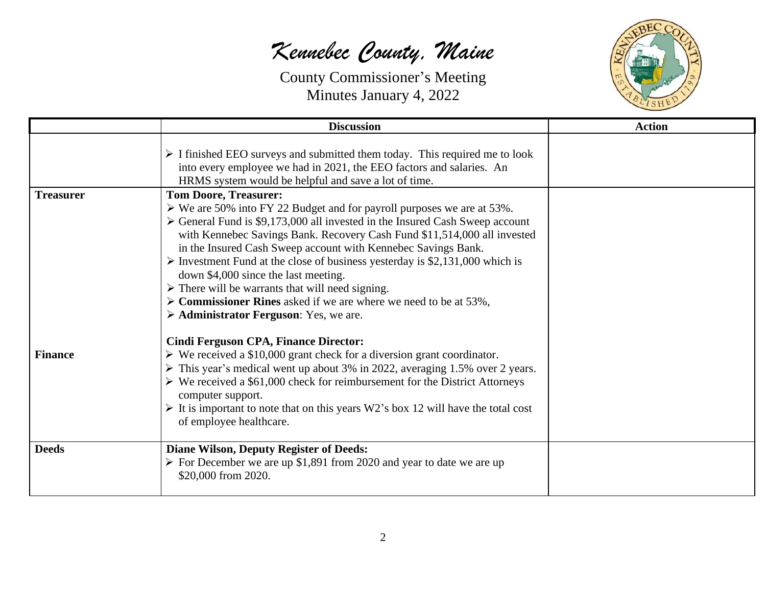## *Kennebec County, Maine*



|                  | <b>Discussion</b>                                                                                                                                                                                                                                                                                                                                                                                                                                                                                                                                                                                                              | <b>Action</b> |
|------------------|--------------------------------------------------------------------------------------------------------------------------------------------------------------------------------------------------------------------------------------------------------------------------------------------------------------------------------------------------------------------------------------------------------------------------------------------------------------------------------------------------------------------------------------------------------------------------------------------------------------------------------|---------------|
|                  | $\triangleright$ I finished EEO surveys and submitted them today. This required me to look<br>into every employee we had in 2021, the EEO factors and salaries. An<br>HRMS system would be helpful and save a lot of time.                                                                                                                                                                                                                                                                                                                                                                                                     |               |
| <b>Treasurer</b> | <b>Tom Doore, Treasurer:</b>                                                                                                                                                                                                                                                                                                                                                                                                                                                                                                                                                                                                   |               |
|                  | $\triangleright$ We are 50% into FY 22 Budget and for payroll purposes we are at 53%.<br>$\triangleright$ General Fund is \$9,173,000 all invested in the Insured Cash Sweep account<br>with Kennebec Savings Bank. Recovery Cash Fund \$11,514,000 all invested<br>in the Insured Cash Sweep account with Kennebec Savings Bank.<br>$\triangleright$ Investment Fund at the close of business yesterday is \$2,131,000 which is<br>down \$4,000 since the last meeting.<br>$\triangleright$ There will be warrants that will need signing.<br>$\triangleright$ Commissioner Rines asked if we are where we need to be at 53%, |               |
|                  | $\triangleright$ Administrator Ferguson: Yes, we are.                                                                                                                                                                                                                                                                                                                                                                                                                                                                                                                                                                          |               |
| <b>Finance</b>   | <b>Cindi Ferguson CPA, Finance Director:</b><br>$\triangleright$ We received a \$10,000 grant check for a diversion grant coordinator.<br>$\triangleright$ This year's medical went up about 3% in 2022, averaging 1.5% over 2 years.<br>$\triangleright$ We received a \$61,000 check for reimbursement for the District Attorneys<br>computer support.<br>$\triangleright$ It is important to note that on this years W2's box 12 will have the total cost<br>of employee healthcare.                                                                                                                                        |               |
| <b>Deeds</b>     | <b>Diane Wilson, Deputy Register of Deeds:</b><br>$\triangleright$ For December we are up \$1,891 from 2020 and year to date we are up<br>\$20,000 from 2020.                                                                                                                                                                                                                                                                                                                                                                                                                                                                  |               |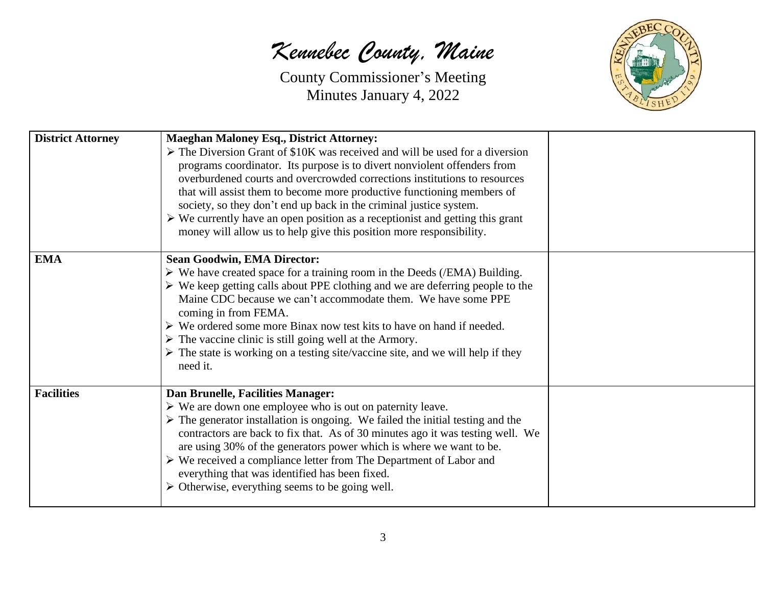*Kennebec County, Maine*



| <b>District Attorney</b> | <b>Maeghan Maloney Esq., District Attorney:</b><br>$\triangleright$ The Diversion Grant of \$10K was received and will be used for a diversion<br>programs coordinator. Its purpose is to divert nonviolent offenders from<br>overburdened courts and overcrowded corrections institutions to resources<br>that will assist them to become more productive functioning members of<br>society, so they don't end up back in the criminal justice system.<br>$\triangleright$ We currently have an open position as a receptionist and getting this grant<br>money will allow us to help give this position more responsibility. |  |
|--------------------------|--------------------------------------------------------------------------------------------------------------------------------------------------------------------------------------------------------------------------------------------------------------------------------------------------------------------------------------------------------------------------------------------------------------------------------------------------------------------------------------------------------------------------------------------------------------------------------------------------------------------------------|--|
| <b>EMA</b>               | <b>Sean Goodwin, EMA Director:</b><br>$\triangleright$ We have created space for a training room in the Deeds (/EMA) Building.<br>$\triangleright$ We keep getting calls about PPE clothing and we are deferring people to the<br>Maine CDC because we can't accommodate them. We have some PPE<br>coming in from FEMA.<br>$\triangleright$ We ordered some more Binax now test kits to have on hand if needed.<br>$\triangleright$ The vaccine clinic is still going well at the Armory.<br>$\triangleright$ The state is working on a testing site/vaccine site, and we will help if they<br>need it.                        |  |
| <b>Facilities</b>        | Dan Brunelle, Facilities Manager:<br>$\triangleright$ We are down one employee who is out on paternity leave.<br>$\triangleright$ The generator installation is ongoing. We failed the initial testing and the<br>contractors are back to fix that. As of 30 minutes ago it was testing well. We<br>are using 30% of the generators power which is where we want to be.<br>$\triangleright$ We received a compliance letter from The Department of Labor and<br>everything that was identified has been fixed.<br>$\triangleright$ Otherwise, everything seems to be going well.                                               |  |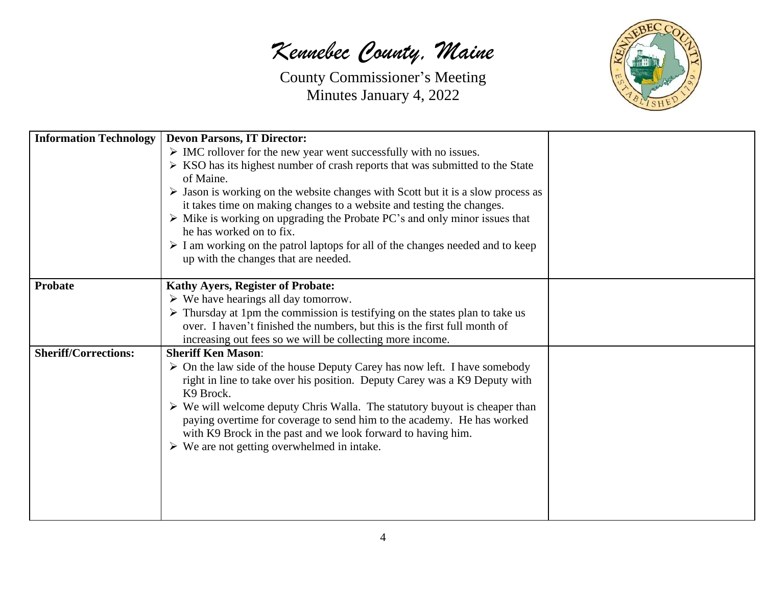*Kennebec County, Maine*



| <b>Information Technology</b> | <b>Devon Parsons, IT Director:</b>                                                              |  |
|-------------------------------|-------------------------------------------------------------------------------------------------|--|
|                               | $\triangleright$ IMC rollover for the new year went successfully with no issues.                |  |
|                               | $\triangleright$ KSO has its highest number of crash reports that was submitted to the State    |  |
|                               | of Maine.                                                                                       |  |
|                               | $\triangleright$ Jason is working on the website changes with Scott but it is a slow process as |  |
|                               | it takes time on making changes to a website and testing the changes.                           |  |
|                               | $\triangleright$ Mike is working on upgrading the Probate PC's and only minor issues that       |  |
|                               | he has worked on to fix.                                                                        |  |
|                               | $\triangleright$ I am working on the patrol laptops for all of the changes needed and to keep   |  |
|                               | up with the changes that are needed.                                                            |  |
|                               |                                                                                                 |  |
| <b>Probate</b>                | <b>Kathy Ayers, Register of Probate:</b>                                                        |  |
|                               | $\triangleright$ We have hearings all day tomorrow.                                             |  |
|                               | $\triangleright$ Thursday at 1pm the commission is testifying on the states plan to take us     |  |
|                               | over. I haven't finished the numbers, but this is the first full month of                       |  |
|                               | increasing out fees so we will be collecting more income.                                       |  |
| <b>Sheriff/Corrections:</b>   | <b>Sheriff Ken Mason:</b>                                                                       |  |
|                               | $\triangleright$ On the law side of the house Deputy Carey has now left. I have somebody        |  |
|                               | right in line to take over his position. Deputy Carey was a K9 Deputy with                      |  |
|                               | K9 Brock.                                                                                       |  |
|                               | $\triangleright$ We will welcome deputy Chris Walla. The statutory buyout is cheaper than       |  |
|                               | paying overtime for coverage to send him to the academy. He has worked                          |  |
|                               | with K9 Brock in the past and we look forward to having him.                                    |  |
|                               | $\triangleright$ We are not getting overwhelmed in intake.                                      |  |
|                               |                                                                                                 |  |
|                               |                                                                                                 |  |
|                               |                                                                                                 |  |
|                               |                                                                                                 |  |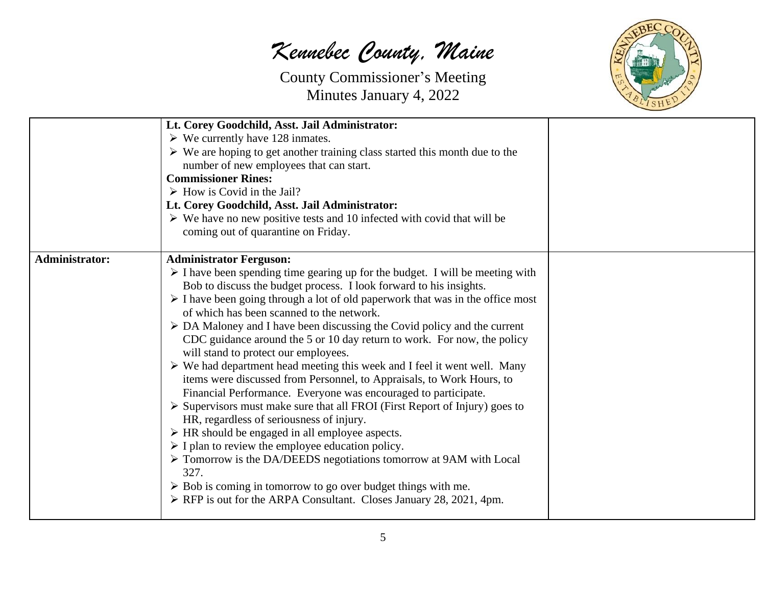*Kennebec County, Maine*



|                | Lt. Corey Goodchild, Asst. Jail Administrator:<br>$\triangleright$ We currently have 128 inmates.<br>$\triangleright$ We are hoping to get another training class started this month due to the<br>number of new employees that can start.<br><b>Commissioner Rines:</b><br>$\triangleright$ How is Covid in the Jail?<br>Lt. Corey Goodchild, Asst. Jail Administrator:<br>$\triangleright$ We have no new positive tests and 10 infected with covid that will be                                                                                                                                                                                                                                                                                                                                                                                                                                                                                                                                                                                                                                                                                                                                                                                                                                                                         |  |
|----------------|--------------------------------------------------------------------------------------------------------------------------------------------------------------------------------------------------------------------------------------------------------------------------------------------------------------------------------------------------------------------------------------------------------------------------------------------------------------------------------------------------------------------------------------------------------------------------------------------------------------------------------------------------------------------------------------------------------------------------------------------------------------------------------------------------------------------------------------------------------------------------------------------------------------------------------------------------------------------------------------------------------------------------------------------------------------------------------------------------------------------------------------------------------------------------------------------------------------------------------------------------------------------------------------------------------------------------------------------|--|
|                | coming out of quarantine on Friday.                                                                                                                                                                                                                                                                                                                                                                                                                                                                                                                                                                                                                                                                                                                                                                                                                                                                                                                                                                                                                                                                                                                                                                                                                                                                                                        |  |
| Administrator: | <b>Administrator Ferguson:</b><br>$\triangleright$ I have been spending time gearing up for the budget. I will be meeting with<br>Bob to discuss the budget process. I look forward to his insights.<br>$\triangleright$ I have been going through a lot of old paperwork that was in the office most<br>of which has been scanned to the network.<br>$\triangleright$ DA Maloney and I have been discussing the Covid policy and the current<br>CDC guidance around the 5 or 10 day return to work. For now, the policy<br>will stand to protect our employees.<br>$\triangleright$ We had department head meeting this week and I feel it went well. Many<br>items were discussed from Personnel, to Appraisals, to Work Hours, to<br>Financial Performance. Everyone was encouraged to participate.<br>$\triangleright$ Supervisors must make sure that all FROI (First Report of Injury) goes to<br>HR, regardless of seriousness of injury.<br>$\triangleright$ HR should be engaged in all employee aspects.<br>$\triangleright$ I plan to review the employee education policy.<br>$\triangleright$ Tomorrow is the DA/DEEDS negotiations tomorrow at 9AM with Local<br>327.<br>$\triangleright$ Bob is coming in tomorrow to go over budget things with me.<br>> RFP is out for the ARPA Consultant. Closes January 28, 2021, 4pm. |  |